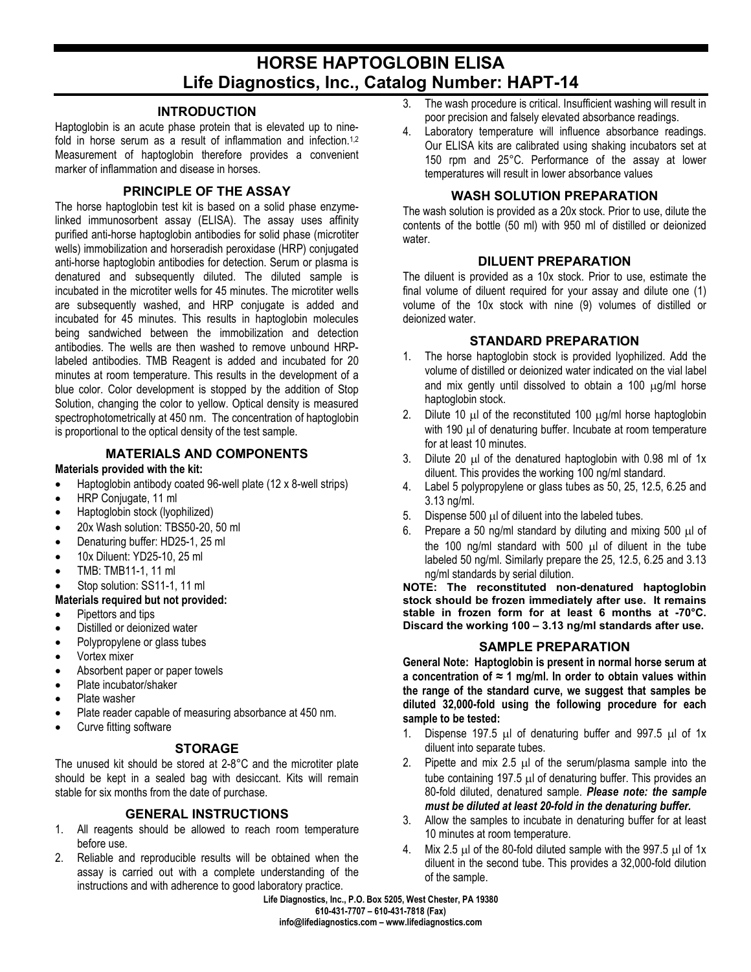# **HORSE HAPTOGLOBIN ELISA Life Diagnostics, Inc., Catalog Number: HAPT-14**

#### **INTRODUCTION**

Haptoglobin is an acute phase protein that is elevated up to ninefold in horse serum as a result of inflammation and infection.<sup>1,2</sup> Measurement of haptoglobin therefore provides a convenient marker of inflammation and disease in horses.

## **PRINCIPLE OF THE ASSAY**

The horse haptoglobin test kit is based on a solid phase enzymelinked immunosorbent assay (ELISA). The assay uses affinity purified anti-horse haptoglobin antibodies for solid phase (microtiter wells) immobilization and horseradish peroxidase (HRP) conjugated anti-horse haptoglobin antibodies for detection. Serum or plasma is denatured and subsequently diluted. The diluted sample is incubated in the microtiter wells for 45 minutes. The microtiter wells are subsequently washed, and HRP conjugate is added and incubated for 45 minutes. This results in haptoglobin molecules being sandwiched between the immobilization and detection antibodies. The wells are then washed to remove unbound HRPlabeled antibodies. TMB Reagent is added and incubated for 20 minutes at room temperature. This results in the development of a blue color. Color development is stopped by the addition of Stop Solution, changing the color to yellow. Optical density is measured spectrophotometrically at 450 nm. The concentration of haptoglobin is proportional to the optical density of the test sample.

### **MATERIALS AND COMPONENTS**

#### **Materials provided with the kit:**

- Haptoglobin antibody coated 96-well plate (12 x 8-well strips)
- HRP Conjugate, 11 ml
- Haptoglobin stock (lyophilized)
- 20x Wash solution: TBS50-20, 50 ml
- Denaturing buffer: HD25-1, 25 ml
- 10x Diluent: YD25-10, 25 ml
- TMB: TMB11-1, 11 ml
- Stop solution: SS11-1, 11 ml

### **Materials required but not provided:**

- Pipettors and tips
- Distilled or deionized water
- Polypropylene or glass tubes
- Vortex mixer
- Absorbent paper or paper towels
- Plate incubator/shaker
- Plate washer
- Plate reader capable of measuring absorbance at 450 nm.
- Curve fitting software

### **STORAGE**

The unused kit should be stored at 2-8°C and the microtiter plate should be kept in a sealed bag with desiccant. Kits will remain stable for six months from the date of purchase.

# **GENERAL INSTRUCTIONS**

- 1. All reagents should be allowed to reach room temperature before use.
- 2. Reliable and reproducible results will be obtained when the assay is carried out with a complete understanding of the instructions and with adherence to good laboratory practice.
- 3. The wash procedure is critical. Insufficient washing will result in poor precision and falsely elevated absorbance readings.
- 4. Laboratory temperature will influence absorbance readings. Our ELISA kits are calibrated using shaking incubators set at 150 rpm and 25°C. Performance of the assay at lower temperatures will result in lower absorbance values

## **WASH SOLUTION PREPARATION**

The wash solution is provided as a 20x stock. Prior to use, dilute the contents of the bottle (50 ml) with 950 ml of distilled or deionized water.

## **DILUENT PREPARATION**

The diluent is provided as a 10x stock. Prior to use, estimate the final volume of diluent required for your assay and dilute one (1) volume of the 10x stock with nine (9) volumes of distilled or deionized water.

## **STANDARD PREPARATION**

- 1. The horse haptoglobin stock is provided lyophilized. Add the volume of distilled or deionized water indicated on the vial label and mix gently until dissolved to obtain a 100 µg/ml horse haptoglobin stock.
- 2. Dilute 10  $\mu$  of the reconstituted 100  $\mu$ g/ml horse haptoglobin with 190 µl of denaturing buffer. Incubate at room temperature for at least 10 minutes.
- 3. Dilute 20 µl of the denatured haptoglobin with 0.98 ml of 1x diluent. This provides the working 100 ng/ml standard.
- 4. Label 5 polypropylene or glass tubes as 50, 25, 12.5, 6.25 and 3.13 ng/ml.
- 5. Dispense  $500 \mu l$  of diluent into the labeled tubes.
- 6. Prepare a 50 ng/ml standard by diluting and mixing 500 µl of the 100 ng/ml standard with 500 µl of diluent in the tube labeled 50 ng/ml. Similarly prepare the 25, 12.5, 6.25 and 3.13 ng/ml standards by serial dilution.

**NOTE: The reconstituted non-denatured haptoglobin stock should be frozen immediately after use. It remains stable in frozen form for at least 6 months at -70°C. Discard the working 100 – 3.13 ng/ml standards after use.**

## **SAMPLE PREPARATION**

**General Note: Haptoglobin is present in normal horse serum at a concentration of ≈ 1 mg/ml. In order to obtain values within the range of the standard curve, we suggest that samples be diluted 32,000-fold using the following procedure for each sample to be tested:**

- 1. Dispense 197.5 µl of denaturing buffer and 997.5 µl of 1x diluent into separate tubes.
- 2. Pipette and mix 2.5  $\mu$ l of the serum/plasma sample into the tube containing 197.5 µl of denaturing buffer. This provides an 80-fold diluted, denatured sample. *Please note: the sample must be diluted at least 20-fold in the denaturing buffer.*
- 3. Allow the samples to incubate in denaturing buffer for at least 10 minutes at room temperature.
- 4. Mix 2.5 µl of the 80-fold diluted sample with the 997.5 µl of 1x diluent in the second tube. This provides a 32,000-fold dilution of the sample.

**Life Diagnostics, Inc., P.O. Box 5205, West Chester, PA 19380 610-431-7707 – 610-431-7818 (Fax) info@lifediagnostics.com – www.lifediagnostics.com**